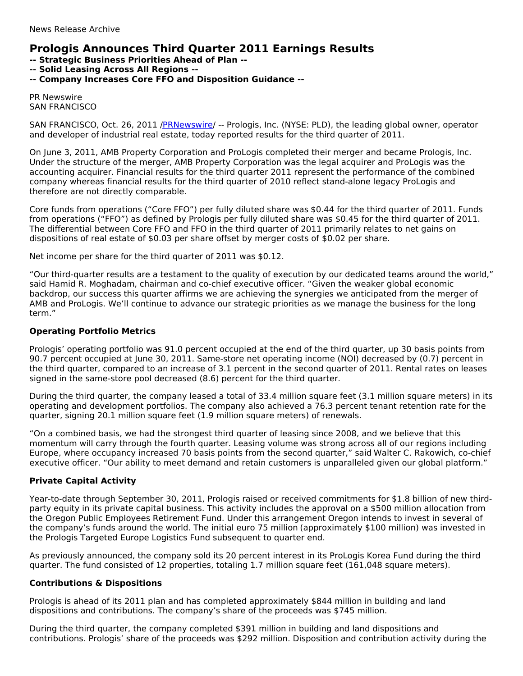# **Prologis Announces Third Quarter 2011 Earnings Results**

**-- Strategic Business Priorities Ahead of Plan --**

- **-- Solid Leasing Across All Regions --**
- **-- Company Increases Core FFO and Disposition Guidance --**

PR Newswire SAN FRANCISCO

SAN FRANCISCO, Oct. 26, 2011 /*PRNewswire/* -- Prologis, Inc. (NYSE: PLD), the leading global owner, operator and developer of industrial real estate, today reported results for the third quarter of 2011.

On June 3, 2011, AMB Property Corporation and ProLogis completed their merger and became Prologis, Inc. Under the structure of the merger, AMB Property Corporation was the legal acquirer and ProLogis was the accounting acquirer. Financial results for the third quarter 2011 represent the performance of the combined company whereas financial results for the third quarter of 2010 reflect stand-alone legacy ProLogis and therefore are not directly comparable.

Core funds from operations ("Core FFO") per fully diluted share was \$0.44 for the third quarter of 2011. Funds from operations ("FFO") as defined by Prologis per fully diluted share was \$0.45 for the third quarter of 2011. The differential between Core FFO and FFO in the third quarter of 2011 primarily relates to net gains on dispositions of real estate of \$0.03 per share offset by merger costs of \$0.02 per share.

Net income per share for the third quarter of 2011 was \$0.12.

"Our third-quarter results are a testament to the quality of execution by our dedicated teams around the world," said Hamid R. Moghadam, chairman and co-chief executive officer. "Given the weaker global economic backdrop, our success this quarter affirms we are achieving the synergies we anticipated from the merger of AMB and ProLogis. We'll continue to advance our strategic priorities as we manage the business for the long term."

### **Operating Portfolio Metrics**

Prologis' operating portfolio was 91.0 percent occupied at the end of the third quarter, up 30 basis points from 90.7 percent occupied at June 30, 2011. Same-store net operating income (NOI) decreased by (0.7) percent in the third quarter, compared to an increase of 3.1 percent in the second quarter of 2011. Rental rates on leases signed in the same-store pool decreased (8.6) percent for the third quarter.

During the third quarter, the company leased a total of 33.4 million square feet (3.1 million square meters) in its operating and development portfolios. The company also achieved a 76.3 percent tenant retention rate for the quarter, signing 20.1 million square feet (1.9 million square meters) of renewals.

"On a combined basis, we had the strongest third quarter of leasing since 2008, and we believe that this momentum will carry through the fourth quarter. Leasing volume was strong across all of our regions including Europe, where occupancy increased 70 basis points from the second quarter," said Walter C. Rakowich, co-chief executive officer. "Our ability to meet demand and retain customers is unparalleled given our global platform."

## **Private Capital Activity**

Year-to-date through September 30, 2011, Prologis raised or received commitments for \$1.8 billion of new thirdparty equity in its private capital business. This activity includes the approval on a \$500 million allocation from the Oregon Public Employees Retirement Fund. Under this arrangement Oregon intends to invest in several of the company's funds around the world. The initial euro 75 million (approximately \$100 million) was invested in the Prologis Targeted Europe Logistics Fund subsequent to quarter end.

As previously announced, the company sold its 20 percent interest in its ProLogis Korea Fund during the third quarter. The fund consisted of 12 properties, totaling 1.7 million square feet (161,048 square meters).

#### **Contributions & Dispositions**

Prologis is ahead of its 2011 plan and has completed approximately \$844 million in building and land dispositions and contributions. The company's share of the proceeds was \$745 million.

During the third quarter, the company completed \$391 million in building and land dispositions and contributions. Prologis' share of the proceeds was \$292 million. Disposition and contribution activity during the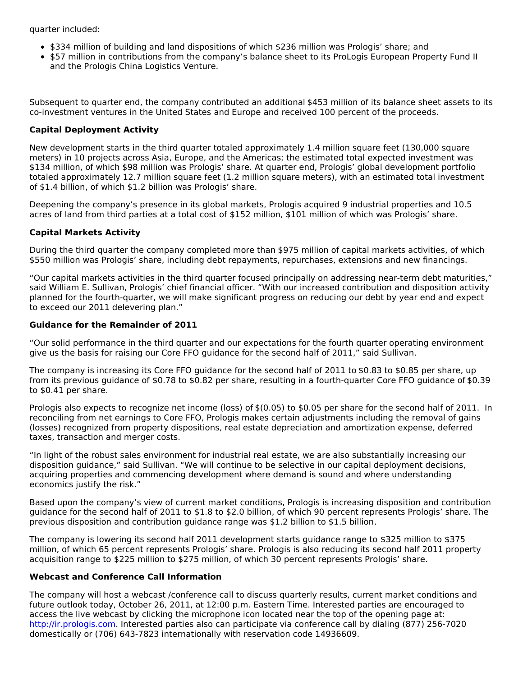quarter included:

- \$334 million of building and land dispositions of which \$236 million was Prologis' share; and
- \$57 million in contributions from the company's balance sheet to its ProLogis European Property Fund II and the Prologis China Logistics Venture.

Subsequent to quarter end, the company contributed an additional \$453 million of its balance sheet assets to its co-investment ventures in the United States and Europe and received 100 percent of the proceeds.

## **Capital Deployment Activity**

New development starts in the third quarter totaled approximately 1.4 million square feet (130,000 square meters) in 10 projects across Asia, Europe, and the Americas; the estimated total expected investment was \$134 million, of which \$98 million was Prologis' share. At quarter end, Prologis' global development portfolio totaled approximately 12.7 million square feet (1.2 million square meters), with an estimated total investment of \$1.4 billion, of which \$1.2 billion was Prologis' share.

Deepening the company's presence in its global markets, Prologis acquired 9 industrial properties and 10.5 acres of land from third parties at a total cost of \$152 million, \$101 million of which was Prologis' share.

### **Capital Markets Activity**

During the third quarter the company completed more than \$975 million of capital markets activities, of which \$550 million was Prologis' share, including debt repayments, repurchases, extensions and new financings.

"Our capital markets activities in the third quarter focused principally on addressing near-term debt maturities," said William E. Sullivan, Prologis' chief financial officer. "With our increased contribution and disposition activity planned for the fourth-quarter, we will make significant progress on reducing our debt by year end and expect to exceed our 2011 delevering plan."

### **Guidance for the Remainder of 2011**

"Our solid performance in the third quarter and our expectations for the fourth quarter operating environment give us the basis for raising our Core FFO guidance for the second half of 2011," said Sullivan.

The company is increasing its Core FFO guidance for the second half of 2011 to \$0.83 to \$0.85 per share, up from its previous guidance of \$0.78 to \$0.82 per share, resulting in a fourth-quarter Core FFO guidance of \$0.39 to \$0.41 per share.

Prologis also expects to recognize net income (loss) of \$(0.05) to \$0.05 per share for the second half of 2011. In reconciling from net earnings to Core FFO, Prologis makes certain adjustments including the removal of gains (losses) recognized from property dispositions, real estate depreciation and amortization expense, deferred taxes, transaction and merger costs.

"In light of the robust sales environment for industrial real estate, we are also substantially increasing our disposition guidance," said Sullivan. "We will continue to be selective in our capital deployment decisions, acquiring properties and commencing development where demand is sound and where understanding economics justify the risk."

Based upon the company's view of current market conditions, Prologis is increasing disposition and contribution guidance for the second half of 2011 to \$1.8 to \$2.0 billion, of which 90 percent represents Prologis' share. The previous disposition and contribution guidance range was \$1.2 billion to \$1.5 billion.

The company is lowering its second half 2011 development starts guidance range to \$325 million to \$375 million, of which 65 percent represents Prologis' share. Prologis is also reducing its second half 2011 property acquisition range to \$225 million to \$275 million, of which 30 percent represents Prologis' share.

## **Webcast and Conference Call Information**

The company will host a webcast /conference call to discuss quarterly results, current market conditions and future outlook today, October 26, 2011, at 12:00 p.m. Eastern Time. Interested parties are encouraged to access the live webcast by clicking the microphone icon located near the top of the opening page at: [http://ir.prologis.com](http://ir.prologis.com/). Interested parties also can participate via conference call by dialing (877) 256-7020 domestically or (706) 643-7823 internationally with reservation code 14936609.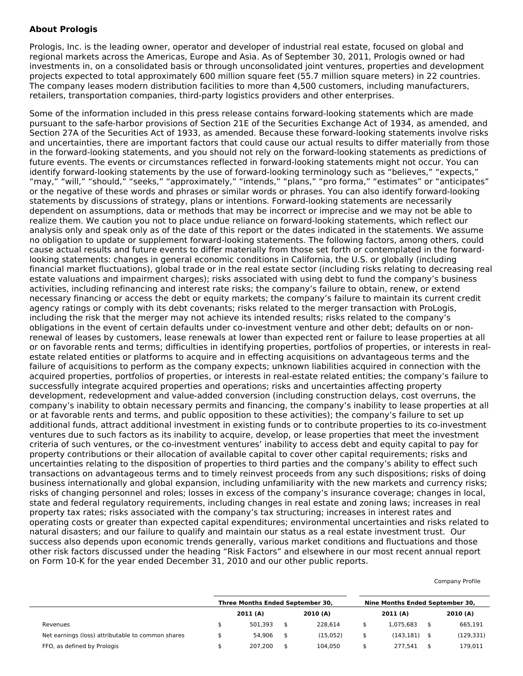## **About Prologis**

Prologis, Inc. is the leading owner, operator and developer of industrial real estate, focused on global and regional markets across the Americas, Europe and Asia. As of September 30, 2011, Prologis owned or had investments in, on a consolidated basis or through unconsolidated joint ventures, properties and development projects expected to total approximately 600 million square feet (55.7 million square meters) in 22 countries. The company leases modern distribution facilities to more than 4,500 customers, including manufacturers, retailers, transportation companies, third-party logistics providers and other enterprises.

Some of the information included in this press release contains forward-looking statements which are made pursuant to the safe-harbor provisions of Section 21E of the Securities Exchange Act of 1934, as amended, and Section 27A of the Securities Act of 1933, as amended. Because these forward-looking statements involve risks and uncertainties, there are important factors that could cause our actual results to differ materially from those in the forward-looking statements, and you should not rely on the forward-looking statements as predictions of future events. The events or circumstances reflected in forward-looking statements might not occur. You can identify forward-looking statements by the use of forward-looking terminology such as "believes," "expects," "may," "will," "should," "seeks," "approximately," "intends," "plans," "pro forma," "estimates" or "anticipates" or the negative of these words and phrases or similar words or phrases. You can also identify forward-looking statements by discussions of strategy, plans or intentions. Forward-looking statements are necessarily dependent on assumptions, data or methods that may be incorrect or imprecise and we may not be able to realize them. We caution you not to place undue reliance on forward-looking statements, which reflect our analysis only and speak only as of the date of this report or the dates indicated in the statements. We assume no obligation to update or supplement forward-looking statements. The following factors, among others, could cause actual results and future events to differ materially from those set forth or contemplated in the forwardlooking statements: changes in general economic conditions in California, the U.S. or globally (including financial market fluctuations), global trade or in the real estate sector (including risks relating to decreasing real estate valuations and impairment charges); risks associated with using debt to fund the company's business activities, including refinancing and interest rate risks; the company's failure to obtain, renew, or extend necessary financing or access the debt or equity markets; the company's failure to maintain its current credit agency ratings or comply with its debt covenants; risks related to the merger transaction with ProLogis, including the risk that the merger may not achieve its intended results; risks related to the company's obligations in the event of certain defaults under co-investment venture and other debt; defaults on or nonrenewal of leases by customers, lease renewals at lower than expected rent or failure to lease properties at all or on favorable rents and terms; difficulties in identifying properties, portfolios of properties, or interests in realestate related entities or platforms to acquire and in effecting acquisitions on advantageous terms and the failure of acquisitions to perform as the company expects; unknown liabilities acquired in connection with the acquired properties, portfolios of properties, or interests in real-estate related entities; the company's failure to successfully integrate acquired properties and operations; risks and uncertainties affecting property development, redevelopment and value-added conversion (including construction delays, cost overruns, the company's inability to obtain necessary permits and financing, the company's inability to lease properties at all or at favorable rents and terms, and public opposition to these activities); the company's failure to set up additional funds, attract additional investment in existing funds or to contribute properties to its co-investment ventures due to such factors as its inability to acquire, develop, or lease properties that meet the investment criteria of such ventures, or the co-investment ventures' inability to access debt and equity capital to pay for property contributions or their allocation of available capital to cover other capital requirements; risks and uncertainties relating to the disposition of properties to third parties and the company's ability to effect such transactions on advantageous terms and to timely reinvest proceeds from any such dispositions; risks of doing business internationally and global expansion, including unfamiliarity with the new markets and currency risks; risks of changing personnel and roles; losses in excess of the company's insurance coverage; changes in local, state and federal regulatory requirements, including changes in real estate and zoning laws; increases in real property tax rates; risks associated with the company's tax structuring; increases in interest rates and operating costs or greater than expected capital expenditures; environmental uncertainties and risks related to natural disasters; and our failure to qualify and maintain our status as a real estate investment trust. Our success also depends upon economic trends generally, various market conditions and fluctuations and those other risk factors discussed under the heading "Risk Factors" and elsewhere in our most recent annual report on Form 10-K for the year ended December 31, 2010 and our other public reports.

Company Profile

|                                                   | Three Months Ended September 30, |          | Nine Months Ended September 30. |           |  |            |  |  |
|---------------------------------------------------|----------------------------------|----------|---------------------------------|-----------|--|------------|--|--|
|                                                   | 2011(A)                          | 2010(A)  |                                 | 2011(A)   |  | 2010(A)    |  |  |
| Revenues                                          | 501.393                          | 228.614  |                                 | 1.075.683 |  | 665,191    |  |  |
| Net earnings (loss) attributable to common shares | 54.906                           | (15.052) |                                 | (143.181) |  | (129, 331) |  |  |
| FFO, as defined by Prologis                       | 207.200                          | 104.050  |                                 | 277.541   |  | 179.011    |  |  |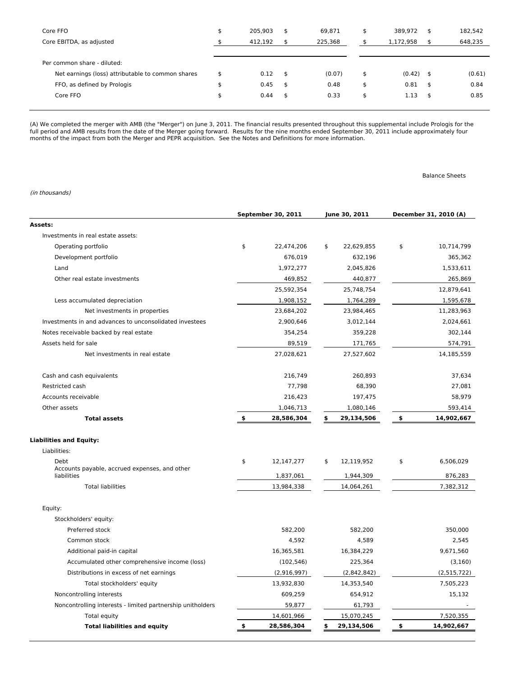| Core FFO                                          | \$<br>205.903 | \$<br>69.871 | \$<br>389,972 | £.   | 182,542 |
|---------------------------------------------------|---------------|--------------|---------------|------|---------|
| Core EBITDA, as adjusted                          | 412,192       | 225,368      | 1,172,958     |      | 648,235 |
|                                                   |               |              |               |      |         |
| Per common share - diluted:                       |               |              |               |      |         |
| Net earnings (loss) attributable to common shares | \$<br>0.12    | \$<br>(0.07) | \$<br>(0.42)  | - \$ | (0.61)  |
| FFO, as defined by Prologis                       | \$<br>0.45    | \$<br>0.48   | \$<br>0.81    | \$   | 0.84    |
| Core FFO                                          | \$<br>0.44    | \$<br>0.33   | \$<br>1.13    | \$   | 0.85    |
|                                                   |               |              |               |      |         |

(A) We completed the merger with AMB (the "Merger") on June 3, 2011. The financial results presented throughout this supplemental include Prologis for the full period and AMB results from the date of the Merger going forward. Results for the nine months ended September 30, 2011 include approximately four months of the impact from both the Merger and PEPR acquisition. See the Notes and Definitions for more information.

Balance Sheets

(in thousands)

l,

|                                                            | <b>September 30, 2011</b> | June 30, 2011    | December 31, 2010 (A) |
|------------------------------------------------------------|---------------------------|------------------|-----------------------|
| <b>Assets:</b>                                             |                           |                  |                       |
| Investments in real estate assets:                         |                           |                  |                       |
| Operating portfolio                                        | \$<br>22,474,206          | \$<br>22,629,855 | \$<br>10,714,799      |
| Development portfolio                                      | 676,019                   | 632,196          | 365,362               |
| Land                                                       | 1,972,277                 | 2,045,826        | 1,533,611             |
| Other real estate investments                              | 469,852                   | 440,877          | 265,869               |
|                                                            | 25,592,354                | 25,748,754       | 12,879,641            |
| Less accumulated depreciation                              | 1,908,152                 | 1,764,289        | 1,595,678             |
| Net investments in properties                              | 23,684,202                | 23,984,465       | 11,283,963            |
| Investments in and advances to unconsolidated investees    | 2,900,646                 | 3,012,144        | 2,024,661             |
| Notes receivable backed by real estate                     | 354,254                   | 359,228          | 302,144               |
| Assets held for sale                                       | 89,519                    | 171,765          | 574,791               |
| Net investments in real estate                             | 27,028,621                | 27,527,602       | 14,185,559            |
| Cash and cash equivalents                                  | 216,749                   | 260,893          | 37,634                |
| Restricted cash                                            | 77,798                    | 68,390           | 27,081                |
| Accounts receivable                                        | 216,423                   | 197,475          | 58,979                |
| Other assets                                               | 1,046,713                 | 1,080,146        | 593,414               |
| <b>Total assets</b>                                        | \$<br>28,586,304          | \$<br>29,134,506 | \$<br>14,902,667      |
|                                                            |                           |                  |                       |
| <b>Liabilities and Equity:</b>                             |                           |                  |                       |
| Liabilities:                                               |                           |                  |                       |
| Debt<br>Accounts payable, accrued expenses, and other      | \$<br>12,147,277          | \$<br>12,119,952 | \$<br>6,506,029       |
| liabilities                                                | 1,837,061                 | 1,944,309        | 876,283               |
| <b>Total liabilities</b>                                   | 13,984,338                | 14,064,261       | 7,382,312             |
| Equity:                                                    |                           |                  |                       |
| Stockholders' equity:                                      |                           |                  |                       |
| Preferred stock                                            | 582,200                   | 582,200          | 350,000               |
| Common stock                                               | 4,592                     | 4,589            | 2,545                 |
| Additional paid-in capital                                 | 16,365,581                | 16,384,229       | 9,671,560             |
| Accumulated other comprehensive income (loss)              | (102, 546)                | 225,364          | (3, 160)              |
| Distributions in excess of net earnings                    | (2,916,997)               | (2,842,842)      | (2,515,722)           |
| Total stockholders' equity                                 | 13,932,830                | 14,353,540       | 7,505,223             |
| Noncontrolling interests                                   | 609,259                   | 654,912          | 15,132                |
| Noncontrolling interests - limited partnership unitholders | 59,877                    | 61,793           |                       |
| Total equity                                               | 14,601,966                | 15,070,245       | 7,520,355             |
| <b>Total liabilities and equity</b>                        | \$<br>28,586,304          | \$<br>29,134,506 | \$<br>14,902,667      |
|                                                            |                           |                  |                       |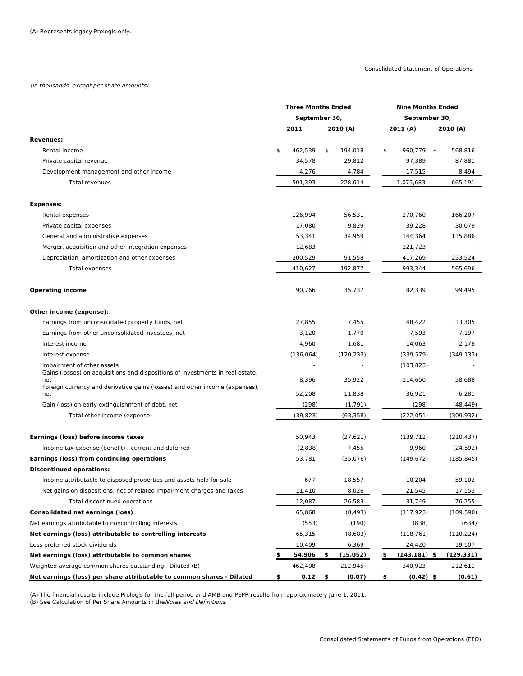#### Consolidated Statement of Operations

#### (in thousands, except per share amounts)

|                                                                                                              | <b>Three Months Ended</b> |                | <b>Nine Months Ended</b> |                 |            |           |
|--------------------------------------------------------------------------------------------------------------|---------------------------|----------------|--------------------------|-----------------|------------|-----------|
|                                                                                                              | September 30,             |                |                          | September 30,   |            |           |
|                                                                                                              | 2011                      | 2010(A)        |                          | 2011 (A)        | 2010(A)    |           |
| <b>Revenues:</b>                                                                                             |                           |                |                          |                 |            |           |
| Rental income                                                                                                | \$<br>462,539             | \$<br>194,018  | \$                       | 960,779<br>-\$  | 568,816    |           |
| Private capital revenue                                                                                      | 34,578                    | 29,812         |                          | 97,389          |            | 87,881    |
| Development management and other income                                                                      | 4,276                     | 4,784          |                          | 17,515          |            | 8,494     |
| Total revenues                                                                                               | 501,393                   | 228,614        |                          | 1,075,683       | 665,191    |           |
| <b>Expenses:</b>                                                                                             |                           |                |                          |                 |            |           |
| Rental expenses                                                                                              | 126,994                   | 56,531         |                          | 270,760         | 166,207    |           |
| Private capital expenses                                                                                     | 17,080                    | 9,829          |                          | 39,228          |            | 30,079    |
| General and administrative expenses                                                                          | 53,341                    | 34,959         |                          | 144,364         | 115,886    |           |
| Merger, acquisition and other integration expenses                                                           | 12,683                    |                |                          | 121,723         |            |           |
| Depreciation, amortization and other expenses                                                                | 200,529                   | 91,558         |                          | 417,269         | 253,524    |           |
| Total expenses                                                                                               | 410,627                   | 192,877        |                          | 993,344         | 565,696    |           |
| <b>Operating income</b>                                                                                      | 90,766                    | 35,737         |                          | 82,339          |            | 99,495    |
| Other income (expense):                                                                                      |                           |                |                          |                 |            |           |
| Earnings from unconsolidated property funds, net                                                             | 27,855                    | 7,455          |                          | 48,422          |            | 13,305    |
| Earnings from other unconsolidated investees, net                                                            | 3,120                     | 1,770          |                          | 7,593           |            | 7,197     |
| Interest income                                                                                              | 4,960                     | 1,681          |                          | 14,063          |            | 2,178     |
| Interest expense                                                                                             | (136,064)                 | (120, 233)     |                          | (339, 579)      | (349, 132) |           |
| Impairment of other assets<br>Gains (losses) on acquisitions and dispositions of investments in real estate, |                           |                |                          | (103, 823)      |            |           |
| net<br>Foreign currency and derivative gains (losses) and other income (expenses),                           | 8,396                     | 35,922         |                          | 114,650         |            | 58,688    |
| net                                                                                                          | 52,208                    | 11,838         |                          | 36,921          |            | 6,281     |
| Gain (loss) on early extinguishment of debt, net                                                             | (298)                     | (1,791)        |                          | (298)           |            | (48, 449) |
| Total other income (expense)                                                                                 | (39, 823)                 | (63, 358)      |                          | (222, 051)      | (309, 932) |           |
| Earnings (loss) before income taxes                                                                          | 50,943                    | (27, 621)      |                          | (139, 712)      | (210, 437) |           |
| Income tax expense (benefit) - current and deferred                                                          | (2,838)                   | 7,455          |                          | 9,960           |            | (24, 592) |
| Earnings (loss) from continuing operations                                                                   | 53,781                    | (35,076)       |                          | (149, 672)      | (185, 845) |           |
| <b>Discontinued operations:</b>                                                                              |                           |                |                          |                 |            |           |
| Income attributable to disposed properties and assets held for sale                                          | 677                       | 18,557         |                          | 10,204          |            | 59,102    |
| Net gains on dispositions, net of related impairment charges and taxes                                       | 11,410                    | 8,026          |                          | 21,545          |            | 17,153    |
| Total discontinued operations                                                                                | 12,087                    | 26,583         |                          | 31,749          |            | 76,255    |
| <b>Consolidated net earnings (loss)</b>                                                                      | 65,868                    | (8, 493)       |                          | (117, 923)      | (109, 590) |           |
| Net earnings attributable to noncontrolling interests                                                        | (553)                     | (190)          |                          | (838)           |            | (634)     |
| Net earnings (loss) attributable to controlling interests                                                    | 65,315                    | (8,683)        |                          | (118, 761)      | (110, 224) |           |
| Less preferred stock dividends                                                                               | 10,409                    | 6,369          |                          | 24,420          |            | 19,107    |
| Net earnings (loss) attributable to common shares                                                            | \$<br>54,906              | \$<br>(15,052) |                          | $(143, 181)$ \$ | (129,331)  |           |
| Weighted average common shares outstanding - Diluted (B)                                                     | 462,408                   | 212,945        |                          | 340,923         | 212,611    |           |
| Net earnings (loss) per share attributable to common shares - Diluted                                        | \$<br>$0.12$ \$           | (0.07)         | \$                       | $(0.42)$ \$     |            | (0.61)    |

(A) The financial results include Prologis for the full period and AMB and PEPR results from approximately June 1, 2011.

(B) See Calculation of Per Share Amounts in the Notes and Definitions.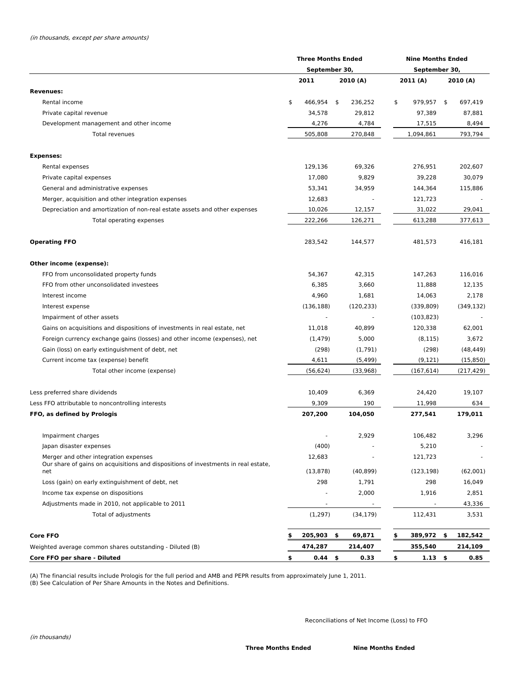#### (in thousands, except per share amounts)

|                                                                                                                             | <b>Three Months Ended</b> |               |  | <b>Nine Months Ended</b> |    |               |    |            |
|-----------------------------------------------------------------------------------------------------------------------------|---------------------------|---------------|--|--------------------------|----|---------------|----|------------|
|                                                                                                                             |                           | September 30, |  |                          |    | September 30, |    |            |
|                                                                                                                             |                           | 2011          |  | 2010 (A)                 |    | 2011 (A)      |    | 2010 (A)   |
| <b>Revenues:</b>                                                                                                            |                           |               |  |                          |    |               |    |            |
| Rental income                                                                                                               | \$                        | 466,954 \$    |  | 236,252                  | \$ | 979,957       | \$ | 697,419    |
| Private capital revenue                                                                                                     |                           | 34,578        |  | 29,812                   |    | 97,389        |    | 87,881     |
| Development management and other income                                                                                     |                           | 4,276         |  | 4,784                    |    | 17,515        |    | 8,494      |
| Total revenues                                                                                                              |                           | 505,808       |  | 270,848                  |    | 1,094,861     |    | 793,794    |
| <b>Expenses:</b>                                                                                                            |                           |               |  |                          |    |               |    |            |
| Rental expenses                                                                                                             |                           | 129,136       |  | 69,326                   |    | 276,951       |    | 202,607    |
| Private capital expenses                                                                                                    |                           | 17,080        |  | 9,829                    |    | 39,228        |    | 30,079     |
| General and administrative expenses                                                                                         |                           | 53,341        |  | 34,959                   |    | 144,364       |    | 115,886    |
| Merger, acquisition and other integration expenses                                                                          |                           | 12,683        |  |                          |    | 121,723       |    |            |
| Depreciation and amortization of non-real estate assets and other expenses                                                  |                           | 10,026        |  | 12,157                   |    | 31,022        |    | 29,041     |
| Total operating expenses                                                                                                    |                           | 222,266       |  | 126,271                  |    | 613,288       |    | 377,613    |
| <b>Operating FFO</b>                                                                                                        |                           | 283,542       |  | 144,577                  |    | 481,573       |    | 416,181    |
| Other income (expense):                                                                                                     |                           |               |  |                          |    |               |    |            |
| FFO from unconsolidated property funds                                                                                      |                           | 54,367        |  | 42,315                   |    | 147,263       |    | 116,016    |
| FFO from other unconsolidated investees                                                                                     |                           | 6,385         |  | 3,660                    |    | 11,888        |    | 12,135     |
| Interest income                                                                                                             |                           | 4,960         |  | 1,681                    |    | 14,063        |    | 2,178      |
| Interest expense                                                                                                            |                           | (136, 188)    |  | (120, 233)               |    | (339, 809)    |    | (349, 132) |
| Impairment of other assets                                                                                                  |                           |               |  |                          |    | (103, 823)    |    |            |
| Gains on acquisitions and dispositions of investments in real estate, net                                                   |                           | 11,018        |  | 40,899                   |    | 120,338       |    | 62,001     |
| Foreign currency exchange gains (losses) and other income (expenses), net                                                   |                           | (1, 479)      |  | 5,000                    |    | (8, 115)      |    | 3,672      |
| Gain (loss) on early extinguishment of debt, net                                                                            |                           | (298)         |  | (1,791)                  |    | (298)         |    | (48, 449)  |
| Current income tax (expense) benefit                                                                                        |                           | 4,611         |  | (5, 499)                 |    | (9, 121)      |    | (15, 850)  |
| Total other income (expense)                                                                                                |                           | (56, 624)     |  | (33,968)                 |    | (167, 614)    |    | (217, 429) |
| Less preferred share dividends                                                                                              |                           | 10,409        |  | 6,369                    |    | 24,420        |    | 19,107     |
| Less FFO attributable to noncontrolling interests                                                                           |                           | 9,309         |  | 190                      |    | 11,998        |    | 634        |
| FFO, as defined by Prologis                                                                                                 |                           | 207,200       |  | 104,050                  |    | 277,541       |    | 179,011    |
| Impairment charges                                                                                                          |                           |               |  | 2,929                    |    | 106,482       |    | 3,296      |
| Japan disaster expenses                                                                                                     |                           | (400)         |  |                          |    | 5,210         |    |            |
| Merger and other integration expenses<br>Our share of gains on acquisitions and dispositions of investments in real estate, |                           | 12,683        |  |                          |    | 121,723       |    |            |
| net                                                                                                                         |                           | (13, 878)     |  | (40, 899)                |    | (123, 198)    |    | (62,001)   |
| Loss (gain) on early extinguishment of debt, net                                                                            |                           | 298           |  | 1,791                    |    | 298           |    | 16,049     |
| Income tax expense on dispositions                                                                                          |                           |               |  | 2,000                    |    | 1,916         |    | 2,851      |
| Adjustments made in 2010, not applicable to 2011                                                                            |                           |               |  |                          |    |               |    | 43,336     |
| Total of adjustments                                                                                                        |                           | (1, 297)      |  | (34, 179)                |    | 112,431       |    | 3,531      |
| <b>Core FFO</b>                                                                                                             |                           | $205,903$ \$  |  | 69,871                   | \$ | 389,972       | \$ | 182,542    |
| Weighted average common shares outstanding - Diluted (B)                                                                    |                           | 474,287       |  | 214,407                  |    | 355,540       |    | 214,109    |
| Core FFO per share - Diluted                                                                                                |                           | $0.44*$       |  | 0.33                     | \$ | $1.13$ \$     |    | 0.85       |

(A) The financial results include Prologis for the full period and AMB and PEPR results from approximately June 1, 2011. (B) See Calculation of Per Share Amounts in the Notes and Definitions.

Reconciliations of Net Income (Loss) to FFO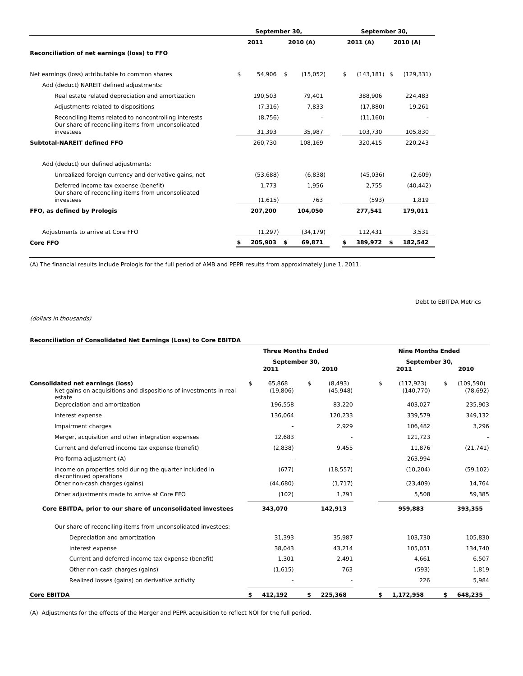|                                                                                                             | September 30, |                | September 30,        |               |
|-------------------------------------------------------------------------------------------------------------|---------------|----------------|----------------------|---------------|
|                                                                                                             | 2011          | 2010 (A)       | 2011(A)              | 2010(A)       |
| Reconciliation of net earnings (loss) to FFO                                                                |               |                |                      |               |
| Net earnings (loss) attributable to common shares                                                           | \$<br>54.906  | \$<br>(15.052) | \$<br>$(143.181)$ \$ | (129, 331)    |
| Add (deduct) NAREIT defined adjustments:                                                                    |               |                |                      |               |
| Real estate related depreciation and amortization                                                           | 190,503       | 79.401         | 388.906              | 224.483       |
| Adjustments related to dispositions                                                                         | (7,316)       | 7,833          | (17, 880)            | 19,261        |
| Reconciling items related to noncontrolling interests<br>Our share of reconciling items from unconsolidated | (8, 756)      |                | (11, 160)            |               |
| investees                                                                                                   | 31,393        | 35,987         | 103,730              | 105,830       |
| <b>Subtotal-NAREIT defined FFO</b>                                                                          | 260.730       | 108.169        | 320,415              | 220,243       |
| Add (deduct) our defined adjustments:                                                                       |               |                |                      |               |
| Unrealized foreign currency and derivative gains, net                                                       | (53, 688)     | (6,838)        | (45,036)             | (2,609)       |
| Deferred income tax expense (benefit)<br>Our share of reconciling items from unconsolidated                 | 1,773         | 1,956          | 2,755                | (40, 442)     |
| investees                                                                                                   | (1,615)       | 763            | (593)                | 1,819         |
| FFO, as defined by Prologis                                                                                 | 207,200       | 104,050        | 277,541              | 179,011       |
| Adjustments to arrive at Core FFO                                                                           | (1.297)       | (34, 179)      | 112,431              | 3.531         |
| <b>Core FFO</b>                                                                                             | 205,903       | \$<br>69,871   | 389,972              | \$<br>182,542 |

(A) The financial results include Prologis for the full period of AMB and PEPR results from approximately June 1, 2011.

Debt to EBITDA Metrics

(dollars in thousands)

#### **Reconciliation of Consolidated Net Earnings (Loss) to Core EBITDA**

|                                                                                                                        | <b>Three Months Ended</b> |                             | <b>Nine Months Ended</b>       |    |                         |  |
|------------------------------------------------------------------------------------------------------------------------|---------------------------|-----------------------------|--------------------------------|----|-------------------------|--|
|                                                                                                                        | September 30,<br>2011     | 2010                        | September 30,<br>2011          |    | 2010                    |  |
| <b>Consolidated net earnings (loss)</b><br>Net gains on acquisitions and dispositions of investments in real<br>estate | \$<br>65,868<br>(19, 806) | \$<br>(8, 493)<br>(45, 948) | \$<br>(117, 923)<br>(140, 770) | \$ | (109, 590)<br>(78, 692) |  |
| Depreciation and amortization                                                                                          | 196,558                   | 83,220                      | 403,027                        |    | 235,903                 |  |
| Interest expense                                                                                                       | 136,064                   | 120,233                     | 339.579                        |    | 349,132                 |  |
| Impairment charges                                                                                                     |                           | 2,929                       | 106,482                        |    | 3,296                   |  |
| Merger, acquisition and other integration expenses                                                                     | 12,683                    |                             | 121,723                        |    |                         |  |
| Current and deferred income tax expense (benefit)                                                                      | (2,838)                   | 9,455                       | 11,876                         |    | (21, 741)               |  |
| Pro forma adjustment (A)                                                                                               |                           |                             | 263,994                        |    |                         |  |
| Income on properties sold during the quarter included in<br>discontinued operations                                    | (677)                     | (18, 557)                   | (10, 204)                      |    | (59, 102)               |  |
| Other non-cash charges (gains)                                                                                         | (44, 680)                 | (1,717)                     | (23, 409)                      |    | 14,764                  |  |
| Other adjustments made to arrive at Core FFO                                                                           | (102)                     | 1,791                       | 5,508                          |    | 59,385                  |  |
| Core EBITDA, prior to our share of unconsolidated investees                                                            | 343,070                   | 142,913                     | 959,883                        |    | 393,355                 |  |
| Our share of reconciling items from unconsolidated investees:                                                          |                           |                             |                                |    |                         |  |
| Depreciation and amortization                                                                                          | 31,393                    | 35,987                      | 103.730                        |    | 105,830                 |  |
| Interest expense                                                                                                       | 38,043                    | 43,214                      | 105,051                        |    | 134,740                 |  |
| Current and deferred income tax expense (benefit)                                                                      | 1,301                     | 2.491                       | 4,661                          |    | 6,507                   |  |
| Other non-cash charges (gains)                                                                                         | (1,615)                   | 763                         | (593)                          |    | 1,819                   |  |
| Realized losses (gains) on derivative activity                                                                         |                           |                             | 226                            |    | 5,984                   |  |
| Core EBITDA                                                                                                            | \$<br>412,192             | \$<br>225,368               | \$<br>1,172,958                | \$ | 648,235                 |  |

(A) Adjustments for the effects of the Merger and PEPR acquisition to reflect NOI for the full period.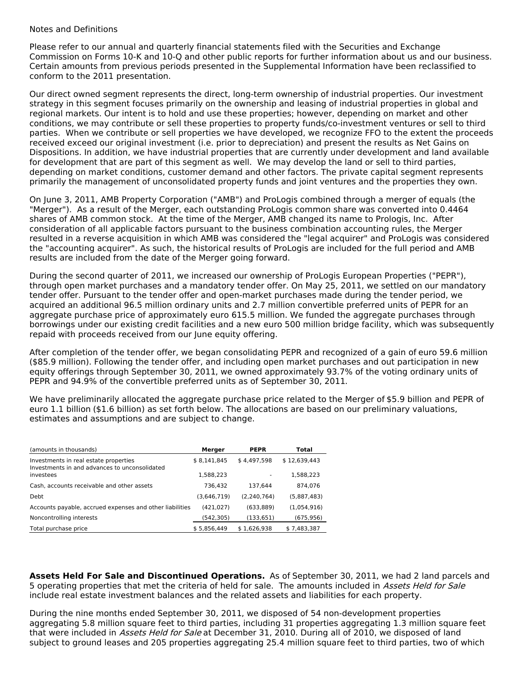#### Notes and Definitions

Please refer to our annual and quarterly financial statements filed with the Securities and Exchange Commission on Forms 10-K and 10-Q and other public reports for further information about us and our business. Certain amounts from previous periods presented in the Supplemental Information have been reclassified to conform to the 2011 presentation.

Our direct owned segment represents the direct, long-term ownership of industrial properties. Our investment strategy in this segment focuses primarily on the ownership and leasing of industrial properties in global and regional markets. Our intent is to hold and use these properties; however, depending on market and other conditions, we may contribute or sell these properties to property funds/co-investment ventures or sell to third parties. When we contribute or sell properties we have developed, we recognize FFO to the extent the proceeds received exceed our original investment (i.e. prior to depreciation) and present the results as Net Gains on Dispositions. In addition, we have industrial properties that are currently under development and land available for development that are part of this segment as well. We may develop the land or sell to third parties, depending on market conditions, customer demand and other factors. The private capital segment represents primarily the management of unconsolidated property funds and joint ventures and the properties they own.

On June 3, 2011, AMB Property Corporation ("AMB") and ProLogis combined through a merger of equals (the "Merger"). As a result of the Merger, each outstanding ProLogis common share was converted into 0.4464 shares of AMB common stock. At the time of the Merger, AMB changed its name to Prologis, Inc. After consideration of all applicable factors pursuant to the business combination accounting rules, the Merger resulted in a reverse acquisition in which AMB was considered the "legal acquirer" and ProLogis was considered the "accounting acquirer". As such, the historical results of ProLogis are included for the full period and AMB results are included from the date of the Merger going forward.

During the second quarter of 2011, we increased our ownership of ProLogis European Properties ("PEPR"), through open market purchases and a mandatory tender offer. On May 25, 2011, we settled on our mandatory tender offer. Pursuant to the tender offer and open-market purchases made during the tender period, we acquired an additional 96.5 million ordinary units and 2.7 million convertible preferred units of PEPR for an aggregate purchase price of approximately euro 615.5 million. We funded the aggregate purchases through borrowings under our existing credit facilities and a new euro 500 million bridge facility, which was subsequently repaid with proceeds received from our June equity offering.

After completion of the tender offer, we began consolidating PEPR and recognized of a gain of euro 59.6 million (\$85.9 million). Following the tender offer, and including open market purchases and out participation in new equity offerings through September 30, 2011, we owned approximately 93.7% of the voting ordinary units of PEPR and 94.9% of the convertible preferred units as of September 30, 2011.

We have preliminarily allocated the aggregate purchase price related to the Merger of \$5.9 billion and PEPR of euro 1.1 billion (\$1.6 billion) as set forth below. The allocations are based on our preliminary valuations, estimates and assumptions and are subject to change.

| (amounts in thousands)                                                                 | Merger      | <b>PEPR</b> | Total        |
|----------------------------------------------------------------------------------------|-------------|-------------|--------------|
| Investments in real estate properties<br>Investments in and advances to unconsolidated | \$8,141,845 | \$4,497,598 | \$12,639,443 |
| investees                                                                              | 1,588,223   | ۰           | 1,588,223    |
| Cash, accounts receivable and other assets                                             | 736.432     | 137.644     | 874.076      |
| Debt                                                                                   | (3,646,719) | (2.240.764) | (5,887,483)  |
| Accounts payable, accrued expenses and other liabilities                               | (421.027)   | (633,889)   | (1,054,916)  |
| Noncontrolling interests                                                               | (542, 305)  | (133, 651)  | (675, 956)   |
| Total purchase price                                                                   | \$5,856,449 | \$1,626,938 | \$7,483,387  |

**Assets Held For Sale and Discontinued Operations.** As of September 30, 2011, we had 2 land parcels and 5 operating properties that met the criteria of held for sale. The amounts included in Assets Held for Sale include real estate investment balances and the related assets and liabilities for each property.

During the nine months ended September 30, 2011, we disposed of 54 non-development properties aggregating 5.8 million square feet to third parties, including 31 properties aggregating 1.3 million square feet that were included in Assets Held for Sale at December 31, 2010. During all of 2010, we disposed of land subject to ground leases and 205 properties aggregating 25.4 million square feet to third parties, two of which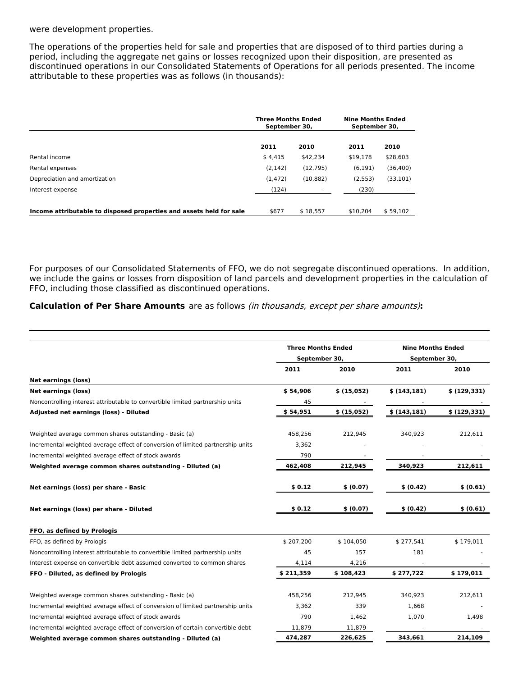were development properties.

The operations of the properties held for sale and properties that are disposed of to third parties during a period, including the aggregate net gains or losses recognized upon their disposition, are presented as discontinued operations in our Consolidated Statements of Operations for all periods presented. The income attributable to these properties was as follows (in thousands):

|                                                                     | <b>Three Months Ended</b><br>September 30, |           | <b>Nine Months Ended</b><br>September 30, |           |  |
|---------------------------------------------------------------------|--------------------------------------------|-----------|-------------------------------------------|-----------|--|
|                                                                     | 2011                                       | 2010      | 2011                                      | 2010      |  |
| Rental income                                                       | \$4,415                                    | \$42.234  | \$19,178                                  | \$28,603  |  |
| Rental expenses                                                     | (2, 142)                                   | (12, 795) | (6, 191)                                  | (36, 400) |  |
| Depreciation and amortization                                       | (1.472)                                    | (10, 882) | (2, 553)                                  | (33, 101) |  |
| Interest expense                                                    | (124)                                      |           | (230)                                     |           |  |
| Income attributable to disposed properties and assets held for sale | \$677                                      | \$18.557  | \$10.204                                  | \$59.102  |  |

For purposes of our Consolidated Statements of FFO, we do not segregate discontinued operations. In addition, we include the gains or losses from disposition of land parcels and development properties in the calculation of FFO, including those classified as discontinued operations.

### **Calculation of Per Share Amounts** are as follows (in thousands, except per share amounts)**:**

|                                                                                | <b>Three Months Ended</b> |            | <b>Nine Months Ended</b> |              |
|--------------------------------------------------------------------------------|---------------------------|------------|--------------------------|--------------|
|                                                                                | September 30,             |            | September 30,            |              |
|                                                                                | 2011                      | 2010       | 2011                     | 2010         |
| <b>Net earnings (loss)</b>                                                     |                           |            |                          |              |
| <b>Net earnings (loss)</b>                                                     | \$54,906                  | \$(15,052) | \$(143, 181)             | \$(129, 331) |
| Noncontrolling interest attributable to convertible limited partnership units  | 45                        |            |                          |              |
| Adjusted net earnings (loss) - Diluted                                         | \$54,951                  | \$(15,052) | \$(143, 181)             | \$(129, 331) |
| Weighted average common shares outstanding - Basic (a)                         | 458,256                   | 212,945    | 340,923                  | 212,611      |
| Incremental weighted average effect of conversion of limited partnership units | 3,362                     |            |                          |              |
| Incremental weighted average effect of stock awards                            | 790                       |            |                          |              |
| Weighted average common shares outstanding - Diluted (a)                       | 462,408                   | 212,945    | 340,923                  | 212,611      |
| Net earnings (loss) per share - Basic                                          | \$0.12                    | \$ (0.07)  | \$ (0.42)                | \$ (0.61)    |
| Net earnings (loss) per share - Diluted                                        | \$0.12                    | \$ (0.07)  | \$ (0.42)                | \$ (0.61)    |
| FFO, as defined by Prologis                                                    |                           |            |                          |              |
| FFO, as defined by Prologis                                                    | \$207,200                 | \$104,050  | \$277,541                | \$179,011    |
| Noncontrolling interest attributable to convertible limited partnership units  | 45                        | 157        | 181                      |              |
| Interest expense on convertible debt assumed converted to common shares        | 4,114                     | 4,216      |                          |              |
| FFO - Diluted, as defined by Prologis                                          | \$211,359                 | \$108,423  | \$277,722                | \$179,011    |
| Weighted average common shares outstanding - Basic (a)                         | 458,256                   | 212,945    | 340,923                  | 212,611      |
| Incremental weighted average effect of conversion of limited partnership units | 3,362                     | 339        | 1,668                    |              |
| Incremental weighted average effect of stock awards                            | 790                       | 1,462      | 1,070                    | 1,498        |
| Incremental weighted average effect of conversion of certain convertible debt  | 11,879                    | 11,879     |                          |              |
| Weighted average common shares outstanding - Diluted (a)                       | 474,287                   | 226,625    | 343,661                  | 214,109      |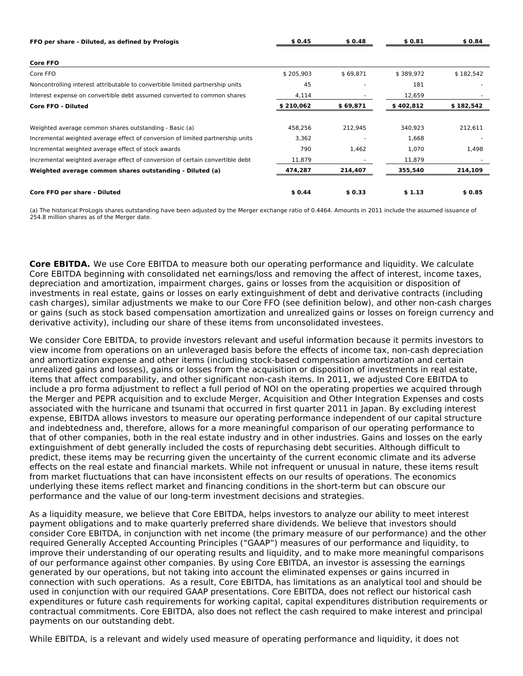| FFO per share - Diluted, as defined by Prologis                                | \$0.45    | \$0.48   | \$0.81    | \$0.84    |
|--------------------------------------------------------------------------------|-----------|----------|-----------|-----------|
| <b>Core FFO</b>                                                                |           |          |           |           |
| Core FFO                                                                       | \$205,903 | \$69,871 | \$389,972 | \$182,542 |
| Noncontrolling interest attributable to convertible limited partnership units  | 45        |          | 181       |           |
| Interest expense on convertible debt assumed converted to common shares        | 4,114     |          | 12,659    |           |
| <b>Core FFO - Diluted</b>                                                      | \$210,062 | \$69,871 | \$402,812 | \$182,542 |
|                                                                                |           |          |           |           |
| Weighted average common shares outstanding - Basic (a)                         | 458,256   | 212,945  | 340,923   | 212,611   |
| Incremental weighted average effect of conversion of limited partnership units | 3,362     |          | 1,668     |           |
| Incremental weighted average effect of stock awards                            | 790       | 1,462    | 1,070     | 1,498     |
| Incremental weighted average effect of conversion of certain convertible debt  | 11,879    |          | 11,879    |           |
| Weighted average common shares outstanding - Diluted (a)                       | 474,287   | 214,407  | 355,540   | 214,109   |
| Core FFO per share - Diluted                                                   | \$0.44    | \$0.33   | \$1.13    | \$0.85    |

(a) The historical ProLogis shares outstanding have been adjusted by the Merger exchange ratio of 0.4464. Amounts in 2011 include the assumed issuance of 254.8 million shares as of the Merger date.

**Core EBITDA.** We use Core EBITDA to measure both our operating performance and liquidity. We calculate Core EBITDA beginning with consolidated net earnings/loss and removing the affect of interest, income taxes, depreciation and amortization, impairment charges, gains or losses from the acquisition or disposition of investments in real estate, gains or losses on early extinguishment of debt and derivative contracts (including cash charges), similar adjustments we make to our Core FFO (see definition below), and other non-cash charges or gains (such as stock based compensation amortization and unrealized gains or losses on foreign currency and derivative activity), including our share of these items from unconsolidated investees.

We consider Core EBITDA, to provide investors relevant and useful information because it permits investors to view income from operations on an unleveraged basis before the effects of income tax, non-cash depreciation and amortization expense and other items (including stock-based compensation amortization and certain unrealized gains and losses), gains or losses from the acquisition or disposition of investments in real estate, items that affect comparability, and other significant non-cash items. In 2011, we adjusted Core EBITDA to include a pro forma adjustment to reflect a full period of NOI on the operating properties we acquired through the Merger and PEPR acquisition and to exclude Merger, Acquisition and Other Integration Expenses and costs associated with the hurricane and tsunami that occurred in first quarter 2011 in Japan. By excluding interest expense, EBITDA allows investors to measure our operating performance independent of our capital structure and indebtedness and, therefore, allows for a more meaningful comparison of our operating performance to that of other companies, both in the real estate industry and in other industries. Gains and losses on the early extinguishment of debt generally included the costs of repurchasing debt securities. Although difficult to predict, these items may be recurring given the uncertainty of the current economic climate and its adverse effects on the real estate and financial markets. While not infrequent or unusual in nature, these items result from market fluctuations that can have inconsistent effects on our results of operations. The economics underlying these items reflect market and financing conditions in the short-term but can obscure our performance and the value of our long-term investment decisions and strategies.

As a liquidity measure, we believe that Core EBITDA, helps investors to analyze our ability to meet interest payment obligations and to make quarterly preferred share dividends. We believe that investors should consider Core EBITDA, in conjunction with net income (the primary measure of our performance) and the other required Generally Accepted Accounting Principles ("GAAP") measures of our performance and liquidity, to improve their understanding of our operating results and liquidity, and to make more meaningful comparisons of our performance against other companies. By using Core EBITDA, an investor is assessing the earnings generated by our operations, but not taking into account the eliminated expenses or gains incurred in connection with such operations. As a result, Core EBITDA, has limitations as an analytical tool and should be used in conjunction with our required GAAP presentations. Core EBITDA, does not reflect our historical cash expenditures or future cash requirements for working capital, capital expenditures distribution requirements or contractual commitments. Core EBITDA, also does not reflect the cash required to make interest and principal payments on our outstanding debt.

While EBITDA, is a relevant and widely used measure of operating performance and liquidity, it does not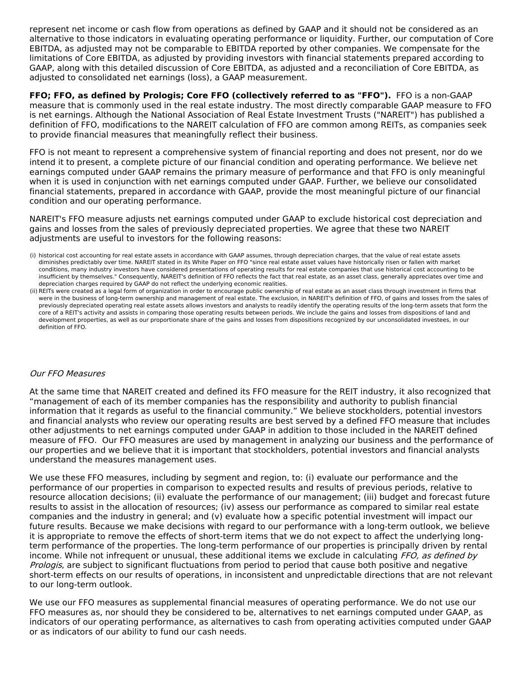represent net income or cash flow from operations as defined by GAAP and it should not be considered as an alternative to those indicators in evaluating operating performance or liquidity. Further, our computation of Core EBITDA, as adjusted may not be comparable to EBITDA reported by other companies. We compensate for the limitations of Core EBITDA, as adjusted by providing investors with financial statements prepared according to GAAP, along with this detailed discussion of Core EBITDA, as adjusted and a reconciliation of Core EBITDA, as adjusted to consolidated net earnings (loss), a GAAP measurement.

**FFO; FFO, as defined by Prologis; Core FFO (collectively referred to as "FFO").** FFO is a non-GAAP measure that is commonly used in the real estate industry. The most directly comparable GAAP measure to FFO is net earnings. Although the National Association of Real Estate Investment Trusts ("NAREIT") has published a definition of FFO, modifications to the NAREIT calculation of FFO are common among REITs, as companies seek to provide financial measures that meaningfully reflect their business.

FFO is not meant to represent a comprehensive system of financial reporting and does not present, nor do we intend it to present, a complete picture of our financial condition and operating performance. We believe net earnings computed under GAAP remains the primary measure of performance and that FFO is only meaningful when it is used in conjunction with net earnings computed under GAAP. Further, we believe our consolidated financial statements, prepared in accordance with GAAP, provide the most meaningful picture of our financial condition and our operating performance.

NAREIT's FFO measure adjusts net earnings computed under GAAP to exclude historical cost depreciation and gains and losses from the sales of previously depreciated properties. We agree that these two NAREIT adjustments are useful to investors for the following reasons:

#### Our FFO Measures

At the same time that NAREIT created and defined its FFO measure for the REIT industry, it also recognized that "management of each of its member companies has the responsibility and authority to publish financial information that it regards as useful to the financial community." We believe stockholders, potential investors and financial analysts who review our operating results are best served by a defined FFO measure that includes other adjustments to net earnings computed under GAAP in addition to those included in the NAREIT defined measure of FFO. Our FFO measures are used by management in analyzing our business and the performance of our properties and we believe that it is important that stockholders, potential investors and financial analysts understand the measures management uses.

We use these FFO measures, including by segment and region, to: (i) evaluate our performance and the performance of our properties in comparison to expected results and results of previous periods, relative to resource allocation decisions; (ii) evaluate the performance of our management; (iii) budget and forecast future results to assist in the allocation of resources; (iv) assess our performance as compared to similar real estate companies and the industry in general; and (v) evaluate how a specific potential investment will impact our future results. Because we make decisions with regard to our performance with a long-term outlook, we believe it is appropriate to remove the effects of short-term items that we do not expect to affect the underlying longterm performance of the properties. The long-term performance of our properties is principally driven by rental income. While not infrequent or unusual, these additional items we exclude in calculating FFO, as defined by Prologis, are subject to significant fluctuations from period to period that cause both positive and negative short-term effects on our results of operations, in inconsistent and unpredictable directions that are not relevant to our long-term outlook.

We use our FFO measures as supplemental financial measures of operating performance. We do not use our FFO measures as, nor should they be considered to be, alternatives to net earnings computed under GAAP, as indicators of our operating performance, as alternatives to cash from operating activities computed under GAAP or as indicators of our ability to fund our cash needs.

<sup>(</sup>i) historical cost accounting for real estate assets in accordance with GAAP assumes, through depreciation charges, that the value of real estate assets diminishes predictably over time. NAREIT stated in its White Paper on FFO "since real estate asset values have historically risen or fallen with market conditions, many industry investors have considered presentations of operating results for real estate companies that use historical cost accounting to be insufficient by themselves." Consequently, NAREIT's definition of FFO reflects the fact that real estate, as an asset class, generally appreciates over time and depreciation charges required by GAAP do not reflect the underlying economic realities.

<sup>(</sup>ii) REITs were created as a legal form of organization in order to encourage public ownership of real estate as an asset class through investment in firms that were in the business of long-term ownership and management of real estate. The exclusion, in NAREIT's definition of FFO, of gains and losses from the sales of previously depreciated operating real estate assets allows investors and analysts to readily identify the operating results of the long-term assets that form the core of a REIT's activity and assists in comparing those operating results between periods. We include the gains and losses from dispositions of land and development properties, as well as our proportionate share of the gains and losses from dispositions recognized by our unconsolidated investees, in our definition of FFO.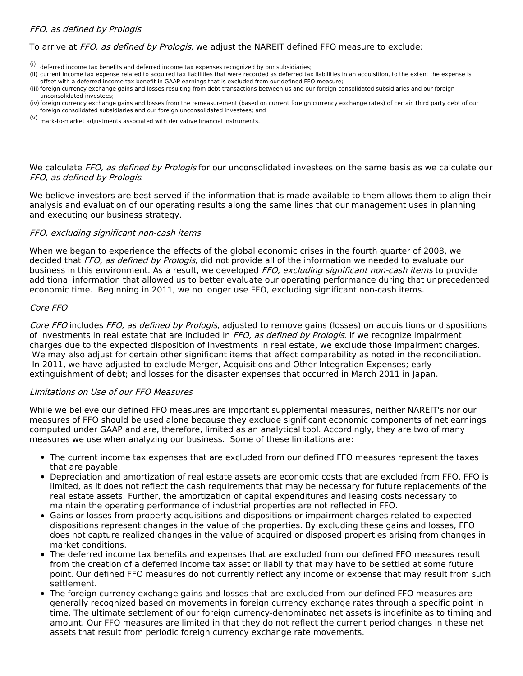## FFO, as defined by Prologis

#### To arrive at FFO, as defined by Prologis, we adjust the NAREIT defined FFO measure to exclude:

We calculate FFO, as defined by Prologis for our unconsolidated investees on the same basis as we calculate our FFO, as defined by Prologis.

We believe investors are best served if the information that is made available to them allows them to align their analysis and evaluation of our operating results along the same lines that our management uses in planning and executing our business strategy.

#### FFO, excluding significant non-cash items

When we began to experience the effects of the global economic crises in the fourth quarter of 2008, we decided that FFO, as defined by Prologis, did not provide all of the information we needed to evaluate our business in this environment. As a result, we developed FFO, excluding significant non-cash items to provide additional information that allowed us to better evaluate our operating performance during that unprecedented economic time. Beginning in 2011, we no longer use FFO, excluding significant non-cash items.

#### Core FFO

Core FFO includes FFO, as defined by Prologis, adjusted to remove gains (losses) on acquisitions or dispositions of investments in real estate that are included in FFO, as defined by Prologis. If we recognize impairment charges due to the expected disposition of investments in real estate, we exclude those impairment charges. We may also adjust for certain other significant items that affect comparability as noted in the reconciliation. In 2011, we have adjusted to exclude Merger, Acquisitions and Other Integration Expenses; early extinguishment of debt; and losses for the disaster expenses that occurred in March 2011 in Japan.

#### Limitations on Use of our FFO Measures

While we believe our defined FFO measures are important supplemental measures, neither NAREIT's nor our measures of FFO should be used alone because they exclude significant economic components of net earnings computed under GAAP and are, therefore, limited as an analytical tool. Accordingly, they are two of many measures we use when analyzing our business. Some of these limitations are:

- The current income tax expenses that are excluded from our defined FFO measures represent the taxes that are payable.
- Depreciation and amortization of real estate assets are economic costs that are excluded from FFO. FFO is limited, as it does not reflect the cash requirements that may be necessary for future replacements of the real estate assets. Further, the amortization of capital expenditures and leasing costs necessary to maintain the operating performance of industrial properties are not reflected in FFO.
- Gains or losses from property acquisitions and dispositions or impairment charges related to expected dispositions represent changes in the value of the properties. By excluding these gains and losses, FFO does not capture realized changes in the value of acquired or disposed properties arising from changes in market conditions.
- The deferred income tax benefits and expenses that are excluded from our defined FFO measures result from the creation of a deferred income tax asset or liability that may have to be settled at some future point. Our defined FFO measures do not currently reflect any income or expense that may result from such settlement.
- The foreign currency exchange gains and losses that are excluded from our defined FFO measures are generally recognized based on movements in foreign currency exchange rates through a specific point in time. The ultimate settlement of our foreign currency-denominated net assets is indefinite as to timing and amount. Our FFO measures are limited in that they do not reflect the current period changes in these net assets that result from periodic foreign currency exchange rate movements.

<sup>(</sup>i) deferred income tax benefits and deferred income tax expenses recognized by our subsidiaries;

<sup>(</sup>ii) current income tax expense related to acquired tax liabilities that were recorded as deferred tax liabilities in an acquisition, to the extent the expense is offset with a deferred income tax benefit in GAAP earnings that is excluded from our defined FFO measure;

<sup>(</sup>iii) foreign currency exchange gains and losses resulting from debt transactions between us and our foreign consolidated subsidiaries and our foreign unconsolidated investees;

<sup>(</sup>iv)foreign currency exchange gains and losses from the remeasurement (based on current foreign currency exchange rates) of certain third party debt of our foreign consolidated subsidiaries and our foreign unconsolidated investees; and

<sup>(</sup>v) mark-to-market adjustments associated with derivative financial instruments.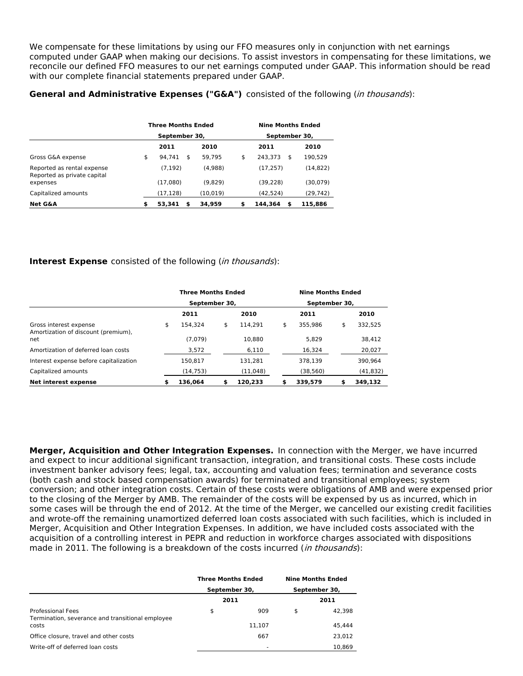We compensate for these limitations by using our FFO measures only in conjunction with net earnings computed under GAAP when making our decisions. To assist investors in compensating for these limitations, we reconcile our defined FFO measures to our net earnings computed under GAAP. This information should be read with our complete financial statements prepared under GAAP.

## **General and Administrative Expenses ("G&A")** consisted of the following (in thousands):

|                                                           | <b>Three Months Ended</b> |    |          |               | <b>Nine Months Ended</b> |     |           |  |
|-----------------------------------------------------------|---------------------------|----|----------|---------------|--------------------------|-----|-----------|--|
|                                                           | September 30,             |    |          | September 30, |                          |     |           |  |
|                                                           | 2011                      |    | 2010     |               | 2011                     |     | 2010      |  |
| Gross G&A expense                                         | \$<br>94.741              | \$ | 59.795   | \$            | 243.373                  | \$  | 190,529   |  |
| Reported as rental expense<br>Reported as private capital | (7.192)                   |    | (4.988)  |               | (17, 257)                |     | (14, 822) |  |
| expenses                                                  | (17,080)                  |    | (9.829)  |               | (39,228)                 |     | (30,079)  |  |
| Capitalized amounts                                       | (17, 128)                 |    | (10,019) |               | (42,524)                 |     | (29, 742) |  |
| <b>Net G&amp;A</b>                                        | \$<br>53,341              | £. | 34,959   | \$            | 144.364                  | \$. | 115,886   |  |

### **Interest Expense** consisted of the following (*in thousands*):

|                                                               | <b>Three Months Ended</b> |               |    |          |               | <b>Nine Months Ended</b> |    |           |  |
|---------------------------------------------------------------|---------------------------|---------------|----|----------|---------------|--------------------------|----|-----------|--|
|                                                               |                           | September 30, |    |          | September 30, |                          |    |           |  |
|                                                               |                           | 2011          |    | 2010     |               | 2011                     |    | 2010      |  |
| Gross interest expense<br>Amortization of discount (premium), | \$                        | 154.324       | \$ | 114.291  | \$            | 355.986                  | \$ | 332,525   |  |
| net                                                           |                           | (7,079)       |    | 10.880   |               | 5.829                    |    | 38.412    |  |
| Amortization of deferred loan costs                           |                           | 3,572         |    | 6,110    |               | 16,324                   |    | 20,027    |  |
| Interest expense before capitalization                        |                           | 150.817       |    | 131.281  |               | 378.139                  |    | 390.964   |  |
| Capitalized amounts                                           |                           | (14, 753)     |    | (11,048) |               | (38,560)                 |    | (41, 832) |  |
| Net interest expense                                          | \$                        | 136.064       | S  | 120,233  |               | 339,579                  |    | 349.132   |  |

**Merger, Acquisition and Other Integration Expenses.** In connection with the Merger, we have incurred and expect to incur additional significant transaction, integration, and transitional costs. These costs include investment banker advisory fees; legal, tax, accounting and valuation fees; termination and severance costs (both cash and stock based compensation awards) for terminated and transitional employees; system conversion; and other integration costs. Certain of these costs were obligations of AMB and were expensed prior to the closing of the Merger by AMB. The remainder of the costs will be expensed by us as incurred, which in some cases will be through the end of 2012. At the time of the Merger, we cancelled our existing credit facilities and wrote-off the remaining unamortized deferred loan costs associated with such facilities, which is included in Merger, Acquisition and Other Integration Expenses. In addition, we have included costs associated with the acquisition of a controlling interest in PEPR and reduction in workforce charges associated with dispositions made in 2011. The following is a breakdown of the costs incurred (*in thousands*):

|                                                                              | <b>Three Months Ended</b> |        | <b>Nine Months Ended</b><br>September 30,<br>2011 |        |  |
|------------------------------------------------------------------------------|---------------------------|--------|---------------------------------------------------|--------|--|
|                                                                              | September 30,             |        |                                                   |        |  |
|                                                                              | 2011                      |        |                                                   |        |  |
| <b>Professional Fees</b><br>Termination, severance and transitional employee | \$                        | 909    | \$                                                | 42.398 |  |
| costs                                                                        |                           | 11,107 |                                                   | 45.444 |  |
| Office closure, travel and other costs                                       |                           | 667    |                                                   | 23.012 |  |
| Write-off of deferred loan costs                                             |                           |        |                                                   | 10,869 |  |